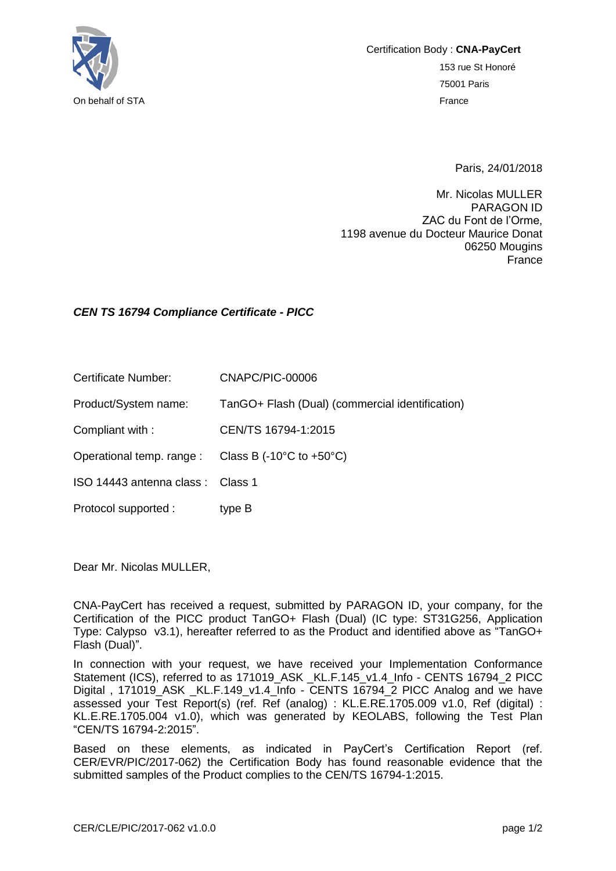

Certification Body : **CNA-PayCert** 153 rue St Honoré 75001 Paris On behalf of STA France

Paris, 24/01/2018

Mr. Nicolas MULLER PARAGON ID ZAC du Font de l'Orme, 1198 avenue du Docteur Maurice Donat 06250 Mougins France

## *CEN TS 16794 Compliance Certificate - PICC*

Certificate Number: CNAPC/PIC-00006

Product/System name: TanGO+ Flash (Dual) (commercial identification)

Compliant with : CEN/TS 16794-1:2015

Operational temp. range : Class B (-10°C to +50°C)

ISO 14443 antenna class : Class 1

Protocol supported : type B

Dear Mr. Nicolas MULLER,

CNA-PayCert has received a request, submitted by PARAGON ID, your company, for the Certification of the PICC product TanGO+ Flash (Dual) (IC type: ST31G256, Application Type: Calypso v3.1), hereafter referred to as the Product and identified above as "TanGO+ Flash (Dual)".

In connection with your request, we have received your Implementation Conformance Statement (ICS), referred to as 171019\_ASK \_KL.F.145\_v1.4\_Info - CENTS 16794\_2 PICC Digital, 171019 ASK KL.F.149 v1.4 Info - CENTS 16794 2 PICC Analog and we have assessed your Test Report(s) (ref. Ref (analog) : KL.E.RE.1705.009 v1.0, Ref (digital) : KL.E.RE.1705.004 v1.0), which was generated by KEOLABS, following the Test Plan "CEN/TS 16794-2:2015".

Based on these elements, as indicated in PayCert's Certification Report (ref. CER/EVR/PIC/2017-062) the Certification Body has found reasonable evidence that the submitted samples of the Product complies to the CEN/TS 16794-1:2015.